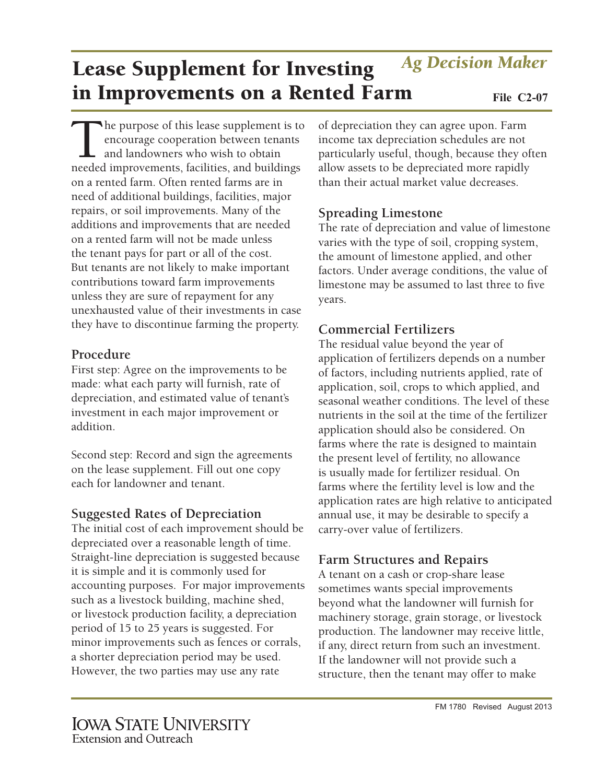# **Spreading Limestone**

of depreciation they can agree upon. Farm income tax depreciation schedules are not particularly useful, though, because they often allow assets to be depreciated more rapidly than their actual market value decreases.

The rate of depreciation and value of limestone varies with the type of soil, cropping system, the amount of limestone applied, and other factors. Under average conditions, the value of limestone may be assumed to last three to five years.

### **Commercial Fertilizers**

The residual value beyond the year of application of fertilizers depends on a number of factors, including nutrients applied, rate of application, soil, crops to which applied, and seasonal weather conditions. The level of these nutrients in the soil at the time of the fertilizer application should also be considered. On farms where the rate is designed to maintain the present level of fertility, no allowance is usually made for fertilizer residual. On farms where the fertility level is low and the application rates are high relative to anticipated annual use, it may be desirable to specify a carry-over value of fertilizers.

# **Farm Structures and Repairs**

A tenant on a cash or crop-share lease sometimes wants special improvements beyond what the landowner will furnish for machinery storage, grain storage, or livestock production. The landowner may receive little, if any, direct return from such an investment. If the landowner will not provide such a structure, then the tenant may offer to make

# Lease Supplement for Investing in Improvements on a Rented Farm File C2-07 *Ag Decision Maker*

The purpose of this lease supplement is to encourage cooperation between tenants and landowners who wish to obtain needed improvements, facilities, and buildings on a rented farm. Often rented farms are in need of additional buildings, facilities, major repairs, or soil improvements. Many of the additions and improvements that are needed on a rented farm will not be made unless the tenant pays for part or all of the cost. But tenants are not likely to make important contributions toward farm improvements unless they are sure of repayment for any unexhausted value of their investments in case they have to discontinue farming the property.

## **Procedure**

First step: Agree on the improvements to be made: what each party will furnish, rate of depreciation, and estimated value of tenant's investment in each major improvement or addition.

Second step: Record and sign the agreements on the lease supplement. Fill out one copy each for landowner and tenant.

# **Suggested Rates of Depreciation**

The initial cost of each improvement should be depreciated over a reasonable length of time. Straight-line depreciation is suggested because it is simple and it is commonly used for accounting purposes. For major improvements such as a livestock building, machine shed, or livestock production facility, a depreciation period of 15 to 25 years is suggested. For minor improvements such as fences or corrals, a shorter depreciation period may be used. However, the two parties may use any rate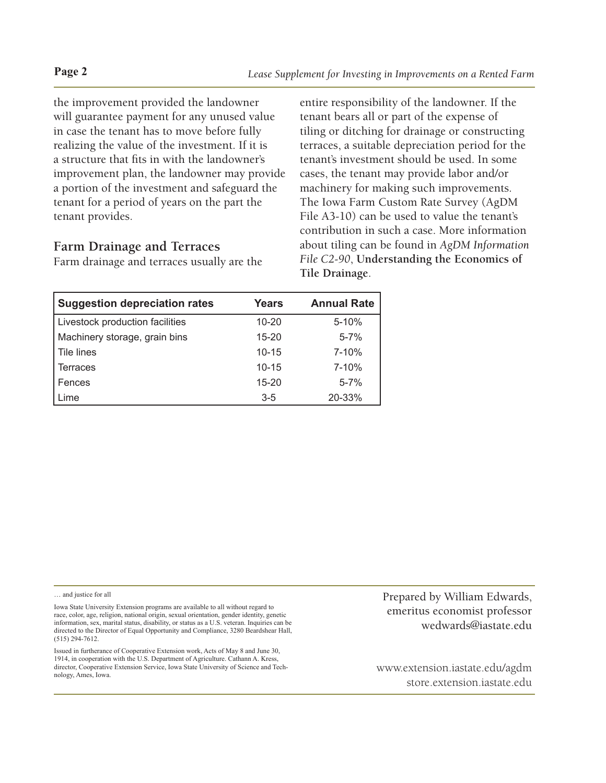the improvement provided the landowner will guarantee payment for any unused value in case the tenant has to move before fully realizing the value of the investment. If it is a structure that fits in with the landowner's improvement plan, the landowner may provide a portion of the investment and safeguard the tenant for a period of years on the part the tenant provides.

#### **Farm Drainage and Terraces**

Farm drainage and terraces usually are the

entire responsibility of the landowner. If the tenant bears all or part of the expense of tiling or ditching for drainage or constructing terraces, a suitable depreciation period for the tenant's investment should be used. In some cases, the tenant may provide labor and/or machinery for making such improvements. The Iowa Farm Custom Rate Survey (AgDM File A3-10) can be used to value the tenant's contribution in such a case. More information about tiling can be found in *AgDM Information File C2-90*, **Understanding the Economics of Tile Drainage**.

| <b>Suggestion depreciation rates</b> | Years     | <b>Annual Rate</b> |
|--------------------------------------|-----------|--------------------|
| Livestock production facilities      | $10 - 20$ | $5 - 10%$          |
| Machinery storage, grain bins        | $15 - 20$ | $5 - 7%$           |
| Tile lines                           | $10 - 15$ | $7 - 10%$          |
| Terraces                             | $10 - 15$ | $7 - 10%$          |
| Fences                               | $15 - 20$ | $5 - 7%$           |
| Lime                                 | $3 - 5$   | 20-33%             |

… and justice for all

Iowa State University Extension programs are available to all without regard to race, color, age, religion, national origin, sexual orientation, gender identity, genetic information, sex, marital status, disability, or status as a U.S. veteran. Inquiries can be directed to the Director of Equal Opportunity and Compliance, 3280 Beardshear Hall, (515) 294-7612.

Issued in furtherance of Cooperative Extension work, Acts of May 8 and June 30, 1914, in cooperation with the U.S. Department of Agriculture. Cathann A. Kress, director, Cooperative Extension Service, Iowa State University of Science and Technology, Ames, Iowa.

Prepared by William Edwards, emeritus economist professor [wedwards@iastate.edu](mailto:wedwards@iastate.edu)

<www.extension.iastate.edu/agdm> <store.extension.iastate.edu>